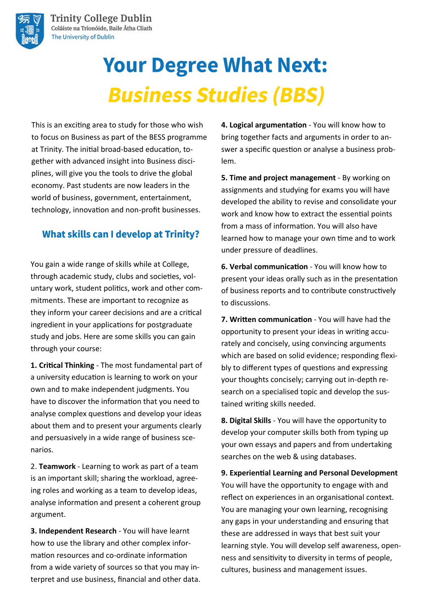

# **Your Degree What Next: Business Studies (BBS)**

This is an exciting area to study for those who wish to focus on Business as part of the BESS programme at Trinity. The initial broad-based education, together with advanced insight into Business disciplines, will give you the tools to drive the global economy. Past students are now leaders in the world of business, government, entertainment, technology, innovation and non-profit businesses.

## **What skills can I develop at Trinity?**

You gain a wide range of skills while at College, through academic study, clubs and societies, voluntary work, student politics, work and other commitments. These are important to recognize as they inform your career decisions and are a critical ingredient in your applications for postgraduate study and jobs. Here are some skills you can gain through your course:

**1. Critical Thinking** - The most fundamental part of a university education is learning to work on your own and to make independent judgments. You have to discover the information that you need to analyse complex questions and develop your ideas about them and to present your arguments clearly and persuasively in a wide range of business scenarios.

2. **Teamwork** - Learning to work as part of a team is an important skill; sharing the workload, agreeing roles and working as a team to develop ideas, analyse information and present a coherent group argument.

**3. Independent Research** - You will have learnt how to use the library and other complex information resources and co-ordinate information from a wide variety of sources so that you may interpret and use business, financial and other data. **4. Logical argumentation** - You will know how to bring together facts and arguments in order to answer a specific question or analyse a business problem.

**5. Time and project management** - By working on assignments and studying for exams you will have developed the ability to revise and consolidate your work and know how to extract the essential points from a mass of information. You will also have learned how to manage your own time and to work under pressure of deadlines.

**6. Verbal communication** - You will know how to present your ideas orally such as in the presentation of business reports and to contribute constructively to discussions.

**7. Written communication** - You will have had the opportunity to present your ideas in writing accurately and concisely, using convincing arguments which are based on solid evidence; responding flexibly to different types of questions and expressing your thoughts concisely; carrying out in-depth research on a specialised topic and develop the sustained writing skills needed.

**8. Digital Skills** - You will have the opportunity to develop your computer skills both from typing up your own essays and papers and from undertaking searches on the web & using databases.

**9. Experiential Learning and Personal Development**  You will have the opportunity to engage with and reflect on experiences in an organisational context. You are managing your own learning, recognising any gaps in your understanding and ensuring that these are addressed in ways that best suit your learning style. You will develop self awareness, openness and sensitivity to diversity in terms of people, cultures, business and management issues.